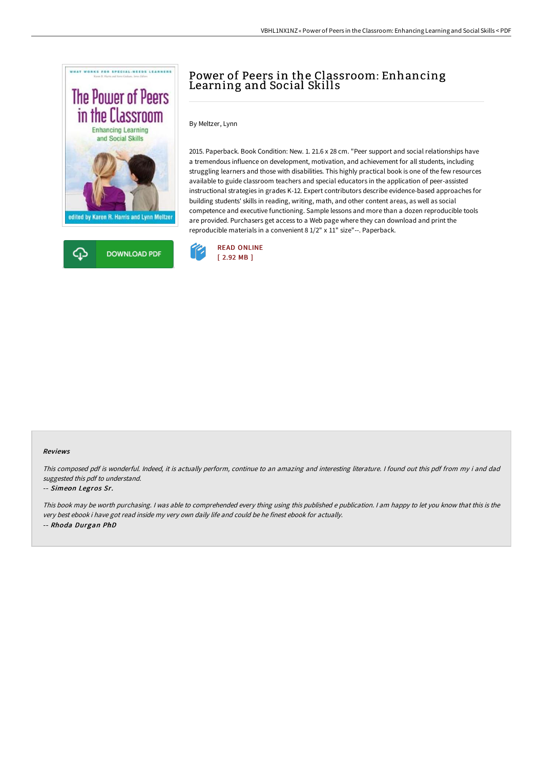



# Power of Peers in the Classroom: Enhancing Learning and Social Skills

By Meltzer, Lynn

2015. Paperback. Book Condition: New. 1. 21.6 x 28 cm. "Peer support and social relationships have a tremendous influence on development, motivation, and achievement for all students, including struggling learners and those with disabilities. This highly practical book is one of the few resources available to guide classroom teachers and special educators in the application of peer-assisted instructional strategies in grades K-12. Expert contributors describe evidence-based approaches for building students' skills in reading, writing, math, and other content areas, as well as social competence and executive functioning. Sample lessons and more than a dozen reproducible tools are provided. Purchasers get access to a Web page where they can download and print the reproducible materials in a convenient 8 1/2" x 11" size"--. Paperback.



### Reviews

This composed pdf is wonderful. Indeed, it is actually perform, continue to an amazing and interesting literature. <sup>I</sup> found out this pdf from my i and dad suggested this pdf to understand.

#### -- Simeon Legros Sr.

This book may be worth purchasing. I was able to comprehended every thing using this published <sup>e</sup> publication. I am happy to let you know that this is the very best ebook i have got read inside my very own daily life and could be he finest ebook for actually. -- Rhoda Durgan PhD